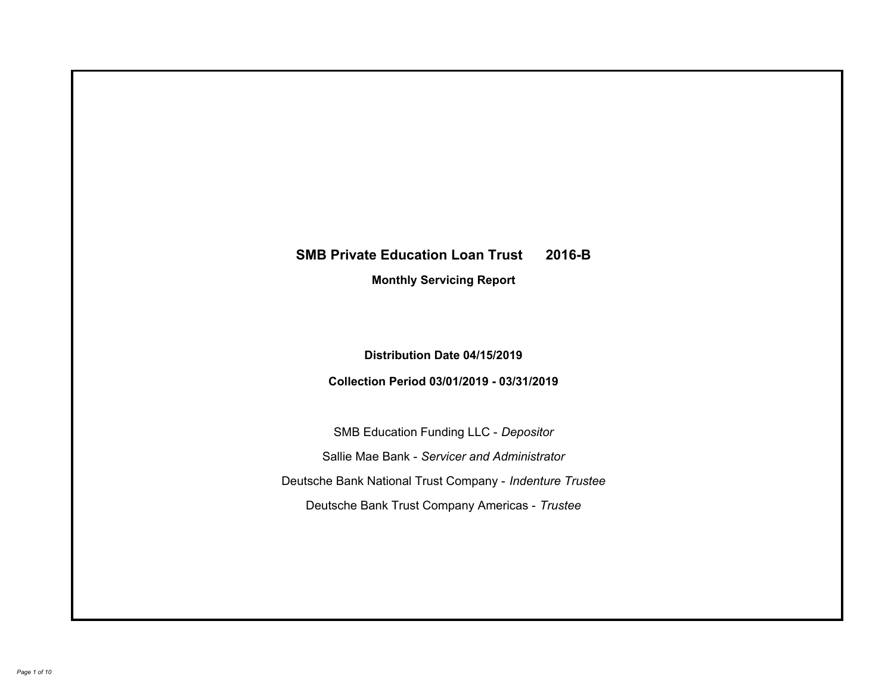# **SMB Private Education Loan Trust 2016-B Monthly Servicing Report**

### **Distribution Date 04/15/2019**

### **Collection Period 03/01/2019 - 03/31/2019**

SMB Education Funding LLC - *Depositor* Sallie Mae Bank - *Servicer and Administrator* Deutsche Bank National Trust Company - *Indenture Trustee* Deutsche Bank Trust Company Americas - *Trustee*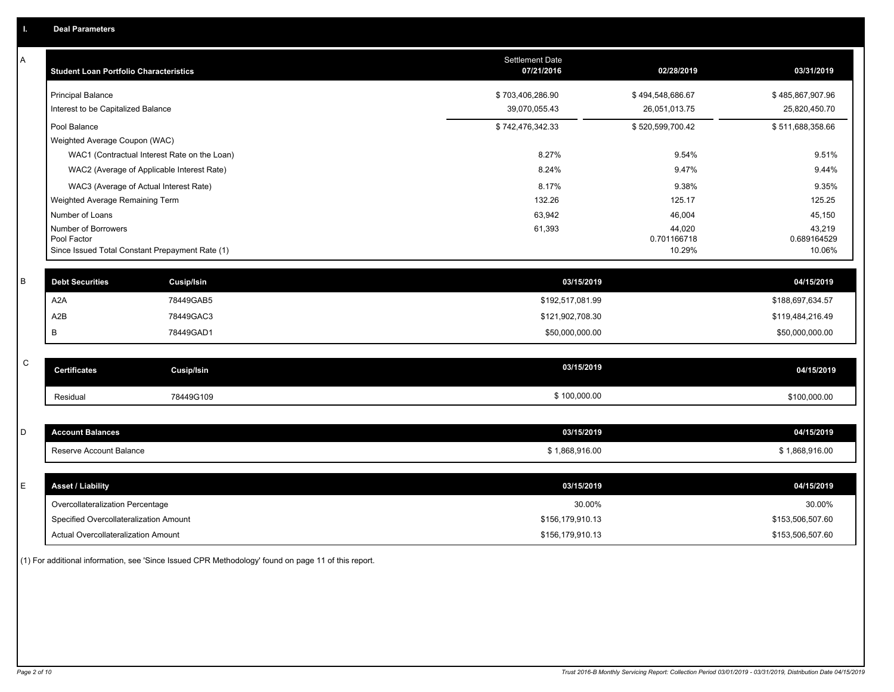| A           | <b>Student Loan Portfolio Characteristics</b>   |                                              | <b>Settlement Date</b><br>07/21/2016 | 02/28/2019            | 03/31/2019            |
|-------------|-------------------------------------------------|----------------------------------------------|--------------------------------------|-----------------------|-----------------------|
|             | <b>Principal Balance</b>                        |                                              | \$703,406,286.90                     | \$494,548,686.67      | \$485,867,907.96      |
|             | Interest to be Capitalized Balance              |                                              | 39,070,055.43                        | 26,051,013.75         | 25,820,450.70         |
|             | Pool Balance                                    |                                              | \$742,476,342.33                     | \$520,599,700.42      | \$511,688,358.66      |
|             | Weighted Average Coupon (WAC)                   |                                              |                                      |                       |                       |
|             |                                                 | WAC1 (Contractual Interest Rate on the Loan) | 8.27%                                | 9.54%                 | 9.51%                 |
|             |                                                 | WAC2 (Average of Applicable Interest Rate)   | 8.24%                                | 9.47%                 | 9.44%                 |
|             | WAC3 (Average of Actual Interest Rate)          |                                              | 8.17%                                | 9.38%                 | 9.35%                 |
|             | Weighted Average Remaining Term                 |                                              | 132.26                               | 125.17                | 125.25                |
|             | Number of Loans                                 |                                              | 63,942                               | 46,004                | 45,150                |
|             | Number of Borrowers<br>Pool Factor              |                                              | 61,393                               | 44,020<br>0.701166718 | 43,219<br>0.689164529 |
|             | Since Issued Total Constant Prepayment Rate (1) |                                              |                                      | 10.29%                | 10.06%                |
| В           | <b>Debt Securities</b>                          | <b>Cusip/Isin</b>                            | 03/15/2019                           |                       | 04/15/2019            |
|             | A <sub>2</sub> A                                | 78449GAB5                                    | \$192,517,081.99                     |                       | \$188,697,634.57      |
|             | A <sub>2</sub> B                                | 78449GAC3                                    | \$121,902,708.30                     |                       | \$119,484,216.49      |
|             | В                                               | 78449GAD1                                    | \$50,000,000.00                      |                       | \$50,000,000.00       |
| $\mathsf C$ |                                                 |                                              | 03/15/2019                           |                       |                       |
|             | <b>Certificates</b>                             | <b>Cusip/Isin</b>                            |                                      |                       | 04/15/2019            |
|             | Residual                                        | 78449G109                                    | \$100,000.00                         |                       | \$100,000.00          |
|             |                                                 |                                              |                                      |                       |                       |
| D           | <b>Account Balances</b>                         |                                              | 03/15/2019                           |                       | 04/15/2019            |
|             | Reserve Account Balance                         |                                              | \$1,868,916.00                       |                       | \$1,868,916.00        |
|             |                                                 |                                              |                                      |                       |                       |
| E           | <b>Asset / Liability</b>                        |                                              | 03/15/2019                           |                       | 04/15/2019            |
|             | Overcollateralization Percentage                |                                              | 30.00%                               |                       | 30.00%                |
|             | Specified Overcollateralization Amount          |                                              | \$156,179,910.13                     |                       | \$153,506,507.60      |
|             | Actual Overcollateralization Amount             |                                              | \$156,179,910.13                     |                       | \$153,506,507.60      |

(1) For additional information, see 'Since Issued CPR Methodology' found on page 11 of this report.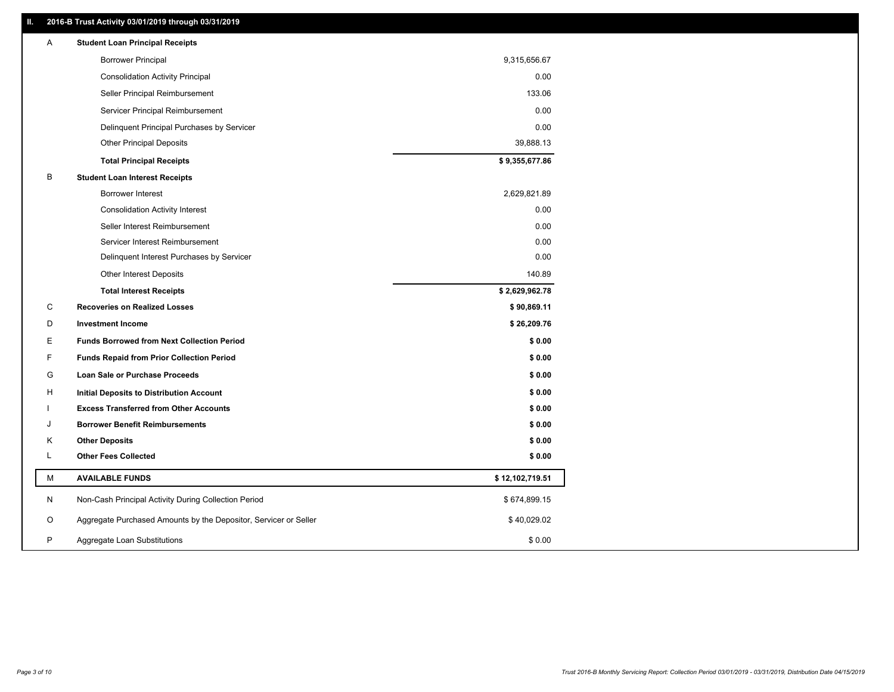### **II. 2016-B Trust Activity 03/01/2019 through 03/31/2019**

| <b>Borrower Principal</b><br>9,315,656.67<br>0.00<br><b>Consolidation Activity Principal</b><br>133.06<br>Seller Principal Reimbursement<br>0.00<br>Servicer Principal Reimbursement<br>0.00<br>Delinquent Principal Purchases by Servicer<br>39,888.13<br><b>Other Principal Deposits</b><br>\$9,355,677.86<br><b>Total Principal Receipts</b><br>В<br><b>Student Loan Interest Receipts</b><br>2,629,821.89<br><b>Borrower Interest</b><br>0.00<br><b>Consolidation Activity Interest</b> |  |
|---------------------------------------------------------------------------------------------------------------------------------------------------------------------------------------------------------------------------------------------------------------------------------------------------------------------------------------------------------------------------------------------------------------------------------------------------------------------------------------------|--|
|                                                                                                                                                                                                                                                                                                                                                                                                                                                                                             |  |
|                                                                                                                                                                                                                                                                                                                                                                                                                                                                                             |  |
|                                                                                                                                                                                                                                                                                                                                                                                                                                                                                             |  |
|                                                                                                                                                                                                                                                                                                                                                                                                                                                                                             |  |
|                                                                                                                                                                                                                                                                                                                                                                                                                                                                                             |  |
|                                                                                                                                                                                                                                                                                                                                                                                                                                                                                             |  |
|                                                                                                                                                                                                                                                                                                                                                                                                                                                                                             |  |
|                                                                                                                                                                                                                                                                                                                                                                                                                                                                                             |  |
|                                                                                                                                                                                                                                                                                                                                                                                                                                                                                             |  |
|                                                                                                                                                                                                                                                                                                                                                                                                                                                                                             |  |
| Seller Interest Reimbursement<br>0.00                                                                                                                                                                                                                                                                                                                                                                                                                                                       |  |
| 0.00<br>Servicer Interest Reimbursement                                                                                                                                                                                                                                                                                                                                                                                                                                                     |  |
| 0.00<br>Delinquent Interest Purchases by Servicer                                                                                                                                                                                                                                                                                                                                                                                                                                           |  |
| 140.89<br>Other Interest Deposits                                                                                                                                                                                                                                                                                                                                                                                                                                                           |  |
| \$2,629,962.78<br><b>Total Interest Receipts</b>                                                                                                                                                                                                                                                                                                                                                                                                                                            |  |
| С<br>\$90,869.11<br><b>Recoveries on Realized Losses</b>                                                                                                                                                                                                                                                                                                                                                                                                                                    |  |
| \$26,209.76<br>D<br><b>Investment Income</b>                                                                                                                                                                                                                                                                                                                                                                                                                                                |  |
| Е<br><b>Funds Borrowed from Next Collection Period</b><br>\$0.00                                                                                                                                                                                                                                                                                                                                                                                                                            |  |
| F.<br><b>Funds Repaid from Prior Collection Period</b><br>\$0.00                                                                                                                                                                                                                                                                                                                                                                                                                            |  |
| G<br>\$0.00<br>Loan Sale or Purchase Proceeds                                                                                                                                                                                                                                                                                                                                                                                                                                               |  |
| \$0.00<br>н<br>Initial Deposits to Distribution Account                                                                                                                                                                                                                                                                                                                                                                                                                                     |  |
| \$0.00<br><b>Excess Transferred from Other Accounts</b>                                                                                                                                                                                                                                                                                                                                                                                                                                     |  |
| <b>Borrower Benefit Reimbursements</b><br>\$0.00<br>J                                                                                                                                                                                                                                                                                                                                                                                                                                       |  |
| Κ<br><b>Other Deposits</b><br>\$0.00                                                                                                                                                                                                                                                                                                                                                                                                                                                        |  |
| L<br><b>Other Fees Collected</b><br>\$0.00                                                                                                                                                                                                                                                                                                                                                                                                                                                  |  |
| М<br><b>AVAILABLE FUNDS</b><br>\$12,102,719.51                                                                                                                                                                                                                                                                                                                                                                                                                                              |  |
| N<br>Non-Cash Principal Activity During Collection Period<br>\$674,899.15                                                                                                                                                                                                                                                                                                                                                                                                                   |  |
| Aggregate Purchased Amounts by the Depositor, Servicer or Seller<br>\$40,029.02<br>O                                                                                                                                                                                                                                                                                                                                                                                                        |  |
| P<br>\$0.00<br>Aggregate Loan Substitutions                                                                                                                                                                                                                                                                                                                                                                                                                                                 |  |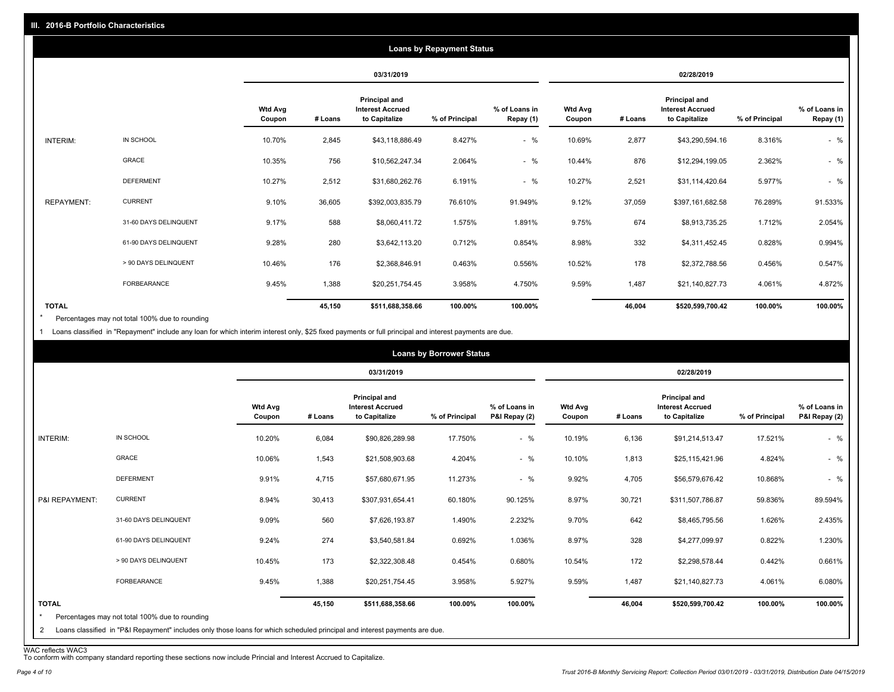|                   |                       |                          | <b>Loans by Repayment Status</b> |                                                           |                |                            |                          |         |                                                           |                |                            |
|-------------------|-----------------------|--------------------------|----------------------------------|-----------------------------------------------------------|----------------|----------------------------|--------------------------|---------|-----------------------------------------------------------|----------------|----------------------------|
|                   |                       |                          | 03/31/2019                       |                                                           |                | 02/28/2019                 |                          |         |                                                           |                |                            |
|                   |                       | <b>Wtd Avg</b><br>Coupon | # Loans                          | Principal and<br><b>Interest Accrued</b><br>to Capitalize | % of Principal | % of Loans in<br>Repay (1) | <b>Wtd Avg</b><br>Coupon | # Loans | Principal and<br><b>Interest Accrued</b><br>to Capitalize | % of Principal | % of Loans in<br>Repay (1) |
| INTERIM:          | IN SCHOOL             | 10.70%                   | 2,845                            | \$43,118,886.49                                           | 8.427%         | $-$ %                      | 10.69%                   | 2,877   | \$43,290,594.16                                           | 8.316%         | $-$ %                      |
|                   | GRACE                 | 10.35%                   | 756                              | \$10,562,247.34                                           | 2.064%         | $-$ %                      | 10.44%                   | 876     | \$12,294,199.05                                           | 2.362%         | $-$ %                      |
|                   | <b>DEFERMENT</b>      | 10.27%                   | 2,512                            | \$31,680,262.76                                           | 6.191%         | $-$ %                      | 10.27%                   | 2,521   | \$31,114,420.64                                           | 5.977%         | $-$ %                      |
| <b>REPAYMENT:</b> | <b>CURRENT</b>        | 9.10%                    | 36,605                           | \$392,003,835.79                                          | 76.610%        | 91.949%                    | 9.12%                    | 37,059  | \$397,161,682.58                                          | 76.289%        | 91.533%                    |
|                   | 31-60 DAYS DELINQUENT | 9.17%                    | 588                              | \$8,060,411.72                                            | 1.575%         | 1.891%                     | 9.75%                    | 674     | \$8,913,735.25                                            | 1.712%         | 2.054%                     |
|                   | 61-90 DAYS DELINQUENT | 9.28%                    | 280                              | \$3,642,113.20                                            | 0.712%         | 0.854%                     | 8.98%                    | 332     | \$4,311,452.45                                            | 0.828%         | 0.994%                     |
|                   | > 90 DAYS DELINQUENT  | 10.46%                   | 176                              | \$2,368,846.91                                            | 0.463%         | 0.556%                     | 10.52%                   | 178     | \$2,372,788.56                                            | 0.456%         | 0.547%                     |
|                   | FORBEARANCE           | 9.45%                    | 1,388                            | \$20,251,754.45                                           | 3.958%         | 4.750%                     | 9.59%                    | 1,487   | \$21,140,827.73                                           | 4.061%         | 4.872%                     |
| <b>TOTAL</b>      |                       |                          | 45,150                           | \$511,688,358.66                                          | 100.00%        | 100.00%                    |                          | 46,004  | \$520,599,700.42                                          | 100.00%        | 100.00%                    |

Percentages may not total 100% due to rounding \*

1 Loans classified in "Repayment" include any loan for which interim interest only, \$25 fixed payments or full principal and interest payments are due.

| 02/28/2019<br>03/31/2019<br><b>Principal and</b><br><b>Principal and</b><br><b>Wtd Avg</b><br><b>Interest Accrued</b><br>% of Loans in<br><b>Wtd Avg</b><br><b>Interest Accrued</b><br># Loans<br>to Capitalize<br>% of Principal<br>P&I Repay (2)<br>to Capitalize<br>Coupon<br># Loans<br>Coupon<br>$-$ %<br>IN SCHOOL<br>10.20%<br>10.19%<br>INTERIM:<br>6,084<br>\$90,826,289.98<br>17.750%<br>6,136<br>\$91,214,513.47<br>GRACE<br>$-$ %<br>10.10%<br>10.06%<br>1,543<br>\$21,508,903.68<br>4.204%<br>1,813<br>\$25,115,421.96<br><b>DEFERMENT</b><br>$-$ %<br>11.273%<br>9.92%<br>4,705<br>9.91%<br>4,715<br>\$57,680,671.95<br>\$56,579,676.42<br><b>CURRENT</b><br>8.94%<br>30,413<br>8.97%<br>30,721<br>P&I REPAYMENT:<br>\$307,931,654.41<br>60.180%<br>90.125%<br>\$311,507,786.87<br>31-60 DAYS DELINQUENT<br>9.09%<br>560<br>1.490%<br>2.232%<br>9.70%<br>642<br>\$7,626,193.87<br>\$8,465,795.56<br>328<br>61-90 DAYS DELINQUENT<br>9.24%<br>274<br>8.97%<br>0.692%<br>1.036%<br>\$4,277,099.97<br>\$3,540,581.84 |                                                  |                |               |        | <b>Loans by Borrower Status</b> |                |     |        |                      |  |
|---------------------------------------------------------------------------------------------------------------------------------------------------------------------------------------------------------------------------------------------------------------------------------------------------------------------------------------------------------------------------------------------------------------------------------------------------------------------------------------------------------------------------------------------------------------------------------------------------------------------------------------------------------------------------------------------------------------------------------------------------------------------------------------------------------------------------------------------------------------------------------------------------------------------------------------------------------------------------------------------------------------------------------|--------------------------------------------------|----------------|---------------|--------|---------------------------------|----------------|-----|--------|----------------------|--|
|                                                                                                                                                                                                                                                                                                                                                                                                                                                                                                                                                                                                                                                                                                                                                                                                                                                                                                                                                                                                                                 |                                                  |                |               |        |                                 |                |     |        |                      |  |
|                                                                                                                                                                                                                                                                                                                                                                                                                                                                                                                                                                                                                                                                                                                                                                                                                                                                                                                                                                                                                                 | % of Loans in<br>P&I Repay (2)<br>% of Principal |                |               |        |                                 |                |     |        |                      |  |
|                                                                                                                                                                                                                                                                                                                                                                                                                                                                                                                                                                                                                                                                                                                                                                                                                                                                                                                                                                                                                                 | 17.521%                                          |                |               |        |                                 |                |     |        |                      |  |
|                                                                                                                                                                                                                                                                                                                                                                                                                                                                                                                                                                                                                                                                                                                                                                                                                                                                                                                                                                                                                                 | 4.824%                                           |                |               |        |                                 |                |     |        |                      |  |
|                                                                                                                                                                                                                                                                                                                                                                                                                                                                                                                                                                                                                                                                                                                                                                                                                                                                                                                                                                                                                                 | 10.868%                                          |                |               |        |                                 |                |     |        |                      |  |
|                                                                                                                                                                                                                                                                                                                                                                                                                                                                                                                                                                                                                                                                                                                                                                                                                                                                                                                                                                                                                                 | 59.836%                                          |                |               |        |                                 |                |     |        |                      |  |
|                                                                                                                                                                                                                                                                                                                                                                                                                                                                                                                                                                                                                                                                                                                                                                                                                                                                                                                                                                                                                                 | 1.626%                                           |                |               |        |                                 |                |     |        |                      |  |
|                                                                                                                                                                                                                                                                                                                                                                                                                                                                                                                                                                                                                                                                                                                                                                                                                                                                                                                                                                                                                                 | 0.822%                                           |                |               |        |                                 |                |     |        |                      |  |
|                                                                                                                                                                                                                                                                                                                                                                                                                                                                                                                                                                                                                                                                                                                                                                                                                                                                                                                                                                                                                                 | 0.442%                                           | \$2,298,578.44 | 172<br>10.54% | 0.680% | 0.454%                          | \$2,322,308.48 | 173 | 10.45% | > 90 DAYS DELINQUENT |  |
| FORBEARANCE<br>9.45%<br>1,388<br>3.958%<br>5.927%<br>9.59%<br>\$20,251,754.45<br>1,487<br>\$21,140,827.73                                                                                                                                                                                                                                                                                                                                                                                                                                                                                                                                                                                                                                                                                                                                                                                                                                                                                                                       | 4.061%                                           |                |               |        |                                 |                |     |        |                      |  |
| <b>TOTAL</b><br>45,150<br>100.00%<br>100.00%<br>46,004<br>\$511,688,358.66<br>\$520,599,700.42<br>$\star$<br>Percentages may not total 100% due to rounding<br>Loans classified in "P&I Repayment" includes only those loans for which scheduled principal and interest payments are due.<br>2                                                                                                                                                                                                                                                                                                                                                                                                                                                                                                                                                                                                                                                                                                                                  | 100.00%                                          |                |               |        |                                 |                |     |        |                      |  |

WAC reflects WAC3 To conform with company standard reporting these sections now include Princial and Interest Accrued to Capitalize.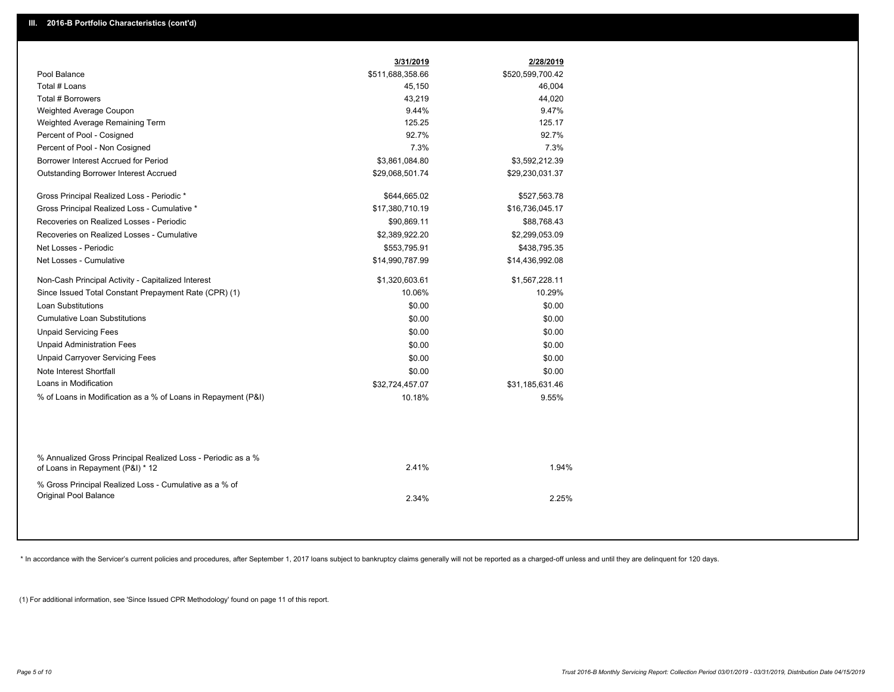|                                                                                                  | 3/31/2019        | 2/28/2019        |  |
|--------------------------------------------------------------------------------------------------|------------------|------------------|--|
| Pool Balance                                                                                     | \$511,688,358.66 | \$520,599,700.42 |  |
| Total # Loans                                                                                    | 45,150           | 46,004           |  |
| Total # Borrowers                                                                                | 43,219           | 44,020           |  |
| Weighted Average Coupon                                                                          | 9.44%            | 9.47%            |  |
| Weighted Average Remaining Term                                                                  | 125.25           | 125.17           |  |
| Percent of Pool - Cosigned                                                                       | 92.7%            | 92.7%            |  |
| Percent of Pool - Non Cosigned                                                                   | 7.3%             | 7.3%             |  |
| Borrower Interest Accrued for Period                                                             | \$3,861,084.80   | \$3,592,212.39   |  |
| <b>Outstanding Borrower Interest Accrued</b>                                                     | \$29,068,501.74  | \$29,230,031.37  |  |
| Gross Principal Realized Loss - Periodic *                                                       | \$644,665.02     | \$527,563.78     |  |
| Gross Principal Realized Loss - Cumulative *                                                     | \$17,380,710.19  | \$16,736,045.17  |  |
| Recoveries on Realized Losses - Periodic                                                         | \$90,869.11      | \$88,768.43      |  |
| Recoveries on Realized Losses - Cumulative                                                       | \$2,389,922.20   | \$2,299,053.09   |  |
| Net Losses - Periodic                                                                            | \$553,795.91     | \$438,795.35     |  |
| Net Losses - Cumulative                                                                          | \$14,990,787.99  | \$14,436,992.08  |  |
| Non-Cash Principal Activity - Capitalized Interest                                               | \$1,320,603.61   | \$1,567,228.11   |  |
| Since Issued Total Constant Prepayment Rate (CPR) (1)                                            | 10.06%           | 10.29%           |  |
| <b>Loan Substitutions</b>                                                                        | \$0.00           | \$0.00           |  |
| <b>Cumulative Loan Substitutions</b>                                                             | \$0.00           | \$0.00           |  |
| <b>Unpaid Servicing Fees</b>                                                                     | \$0.00           | \$0.00           |  |
| <b>Unpaid Administration Fees</b>                                                                | \$0.00           | \$0.00           |  |
| <b>Unpaid Carryover Servicing Fees</b>                                                           | \$0.00           | \$0.00           |  |
| Note Interest Shortfall                                                                          | \$0.00           | \$0.00           |  |
| Loans in Modification                                                                            | \$32,724,457.07  | \$31,185,631.46  |  |
| % of Loans in Modification as a % of Loans in Repayment (P&I)                                    | 10.18%           | 9.55%            |  |
|                                                                                                  |                  |                  |  |
| % Annualized Gross Principal Realized Loss - Periodic as a %<br>of Loans in Repayment (P&I) * 12 | 2.41%            | 1.94%            |  |
| % Gross Principal Realized Loss - Cumulative as a % of                                           |                  |                  |  |
| Original Pool Balance                                                                            | 2.34%            | 2.25%            |  |
|                                                                                                  |                  |                  |  |

\* In accordance with the Servicer's current policies and procedures, after September 1, 2017 loans subject to bankruptcy claims generally will not be reported as a charged-off unless and until they are delinquent for 120 d

(1) For additional information, see 'Since Issued CPR Methodology' found on page 11 of this report.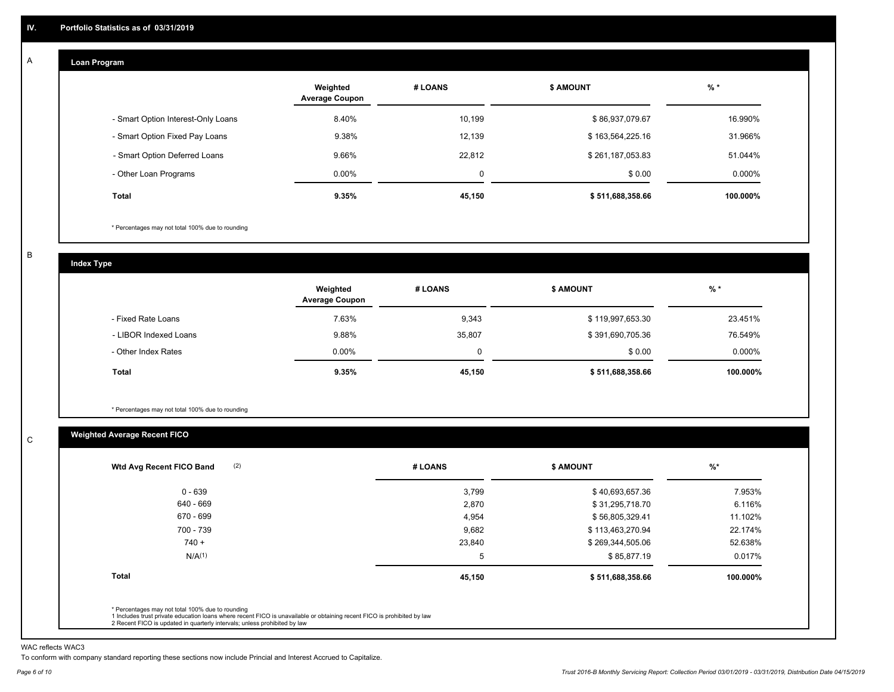#### **Loan Program**  A

|                                    | Weighted<br><b>Average Coupon</b> | # LOANS | <b>\$ AMOUNT</b> | $%$ *     |
|------------------------------------|-----------------------------------|---------|------------------|-----------|
| - Smart Option Interest-Only Loans | 8.40%                             | 10,199  | \$86,937,079.67  | 16.990%   |
| - Smart Option Fixed Pay Loans     | 9.38%                             | 12,139  | \$163,564,225.16 | 31.966%   |
| - Smart Option Deferred Loans      | 9.66%                             | 22.812  | \$261,187,053.83 | 51.044%   |
| - Other Loan Programs              | $0.00\%$                          | 0       | \$0.00           | $0.000\%$ |
| <b>Total</b>                       | 9.35%                             | 45,150  | \$511,688,358.66 | 100.000%  |

\* Percentages may not total 100% due to rounding

B

C

**Index Type**

|                       | Weighted<br><b>Average Coupon</b> | # LOANS | <b>\$ AMOUNT</b> | $%$ *     |
|-----------------------|-----------------------------------|---------|------------------|-----------|
| - Fixed Rate Loans    | 7.63%                             | 9,343   | \$119,997,653.30 | 23.451%   |
| - LIBOR Indexed Loans | 9.88%                             | 35,807  | \$391,690,705.36 | 76.549%   |
| - Other Index Rates   | $0.00\%$                          |         | \$0.00           | $0.000\%$ |
| Total                 | 9.35%                             | 45,150  | \$511,688,358.66 | 100.000%  |

\* Percentages may not total 100% due to rounding

### **Weighted Average Recent FICO**

|        |                  | $%$ *            |
|--------|------------------|------------------|
| 3,799  | \$40,693,657.36  | 7.953%           |
| 2,870  | \$31,295,718.70  | 6.116%           |
| 4,954  | \$56,805,329.41  | 11.102%          |
| 9,682  | \$113,463,270.94 | 22.174%          |
| 23,840 | \$269,344,505.06 | 52.638%          |
| 5      | \$85,877.19      | 0.017%           |
| 45,150 | \$511,688,358.66 | 100.000%         |
|        |                  |                  |
|        | # LOANS          | <b>\$ AMOUNT</b> |

WAC reflects WAC3

To conform with company standard reporting these sections now include Princial and Interest Accrued to Capitalize.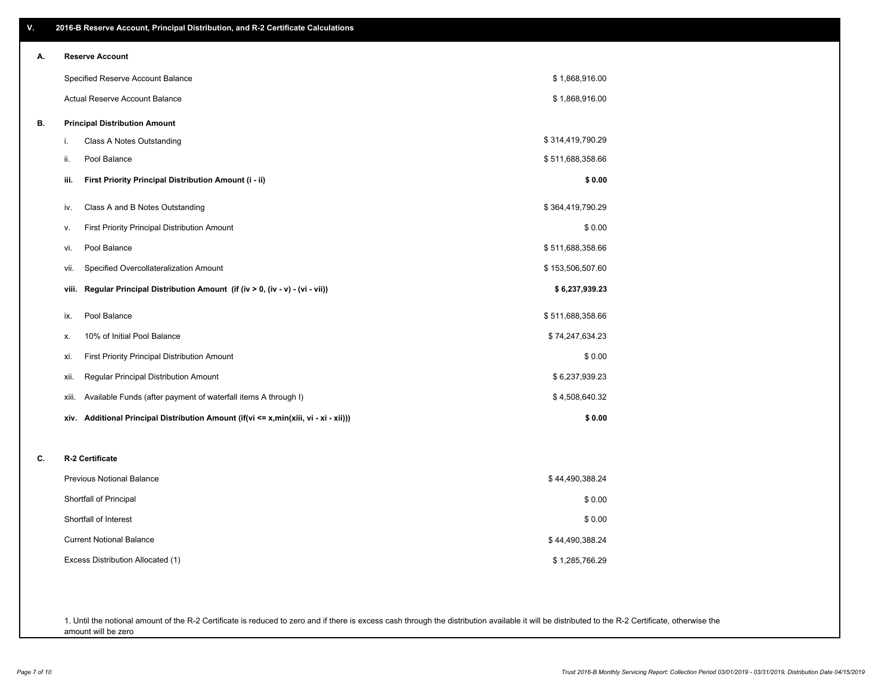| ۷. | 2016-B Reserve Account, Principal Distribution, and R-2 Certificate Calculations        |                  |  |
|----|-----------------------------------------------------------------------------------------|------------------|--|
| А. | <b>Reserve Account</b>                                                                  |                  |  |
|    | Specified Reserve Account Balance                                                       | \$1,868,916.00   |  |
|    | Actual Reserve Account Balance                                                          | \$1,868,916.00   |  |
| В. | <b>Principal Distribution Amount</b>                                                    |                  |  |
|    | Class A Notes Outstanding<br>i.                                                         | \$314,419,790.29 |  |
|    | Pool Balance<br>ii.                                                                     | \$511,688,358.66 |  |
|    | First Priority Principal Distribution Amount (i - ii)<br>iii.                           | \$0.00           |  |
|    | Class A and B Notes Outstanding<br>iv.                                                  | \$364,419,790.29 |  |
|    | First Priority Principal Distribution Amount<br>v.                                      | \$0.00           |  |
|    | Pool Balance<br>vi.                                                                     | \$511,688,358.66 |  |
|    | Specified Overcollateralization Amount<br>vii.                                          | \$153,506,507.60 |  |
|    | Regular Principal Distribution Amount (if (iv > 0, (iv - v) - (vi - vii))<br>viii.      | \$6,237,939.23   |  |
|    | Pool Balance<br>ix.                                                                     | \$511,688,358.66 |  |
|    | 10% of Initial Pool Balance<br>х.                                                       | \$74,247,634.23  |  |
|    | First Priority Principal Distribution Amount<br>xi.                                     | \$0.00           |  |
|    | Regular Principal Distribution Amount<br>xii.                                           | \$6,237,939.23   |  |
|    | Available Funds (after payment of waterfall items A through I)<br>xiii.                 | \$4,508,640.32   |  |
|    | Additional Principal Distribution Amount (if(vi <= x,min(xiii, vi - xi - xii)))<br>xiv. | \$0.00           |  |
| C. | R-2 Certificate                                                                         |                  |  |
|    | <b>Previous Notional Balance</b>                                                        | \$44,490,388.24  |  |
|    | Shortfall of Principal                                                                  | \$0.00           |  |
|    | Shortfall of Interest                                                                   | \$0.00           |  |
|    | <b>Current Notional Balance</b>                                                         | \$44,490,388.24  |  |
|    | Excess Distribution Allocated (1)                                                       | \$1,285,766.29   |  |
|    |                                                                                         |                  |  |
|    |                                                                                         |                  |  |

1. Until the notional amount of the R-2 Certificate is reduced to zero and if there is excess cash through the distribution available it will be distributed to the R-2 Certificate, otherwise the amount will be zero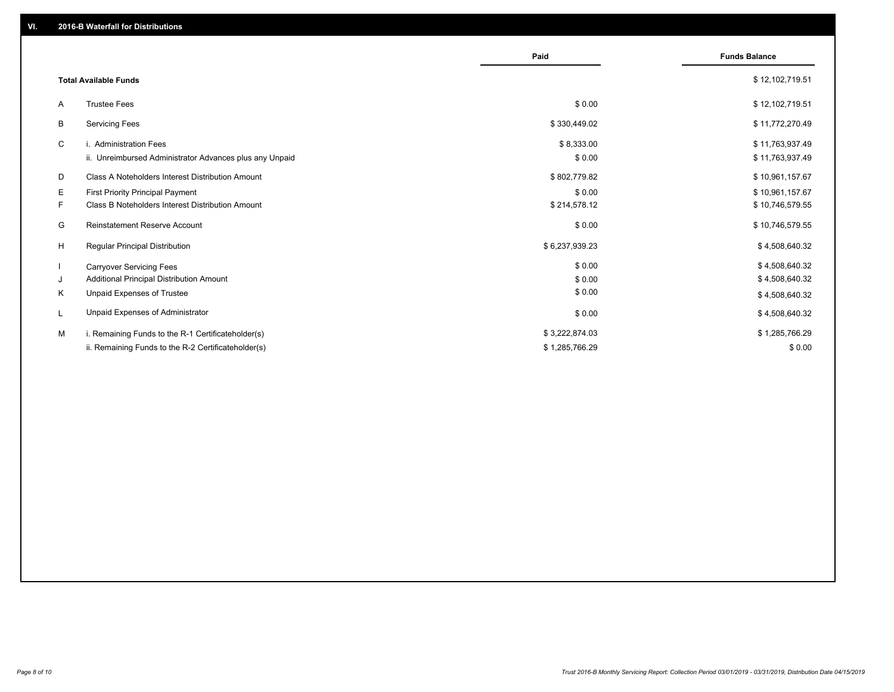|    |                                                         | Paid           | <b>Funds Balance</b> |
|----|---------------------------------------------------------|----------------|----------------------|
|    | <b>Total Available Funds</b>                            |                | \$12,102,719.51      |
| A  | <b>Trustee Fees</b>                                     | \$0.00         | \$12,102,719.51      |
| В  | <b>Servicing Fees</b>                                   | \$330,449.02   | \$11,772,270.49      |
| C  | i. Administration Fees                                  | \$8,333.00     | \$11,763,937.49      |
|    | ii. Unreimbursed Administrator Advances plus any Unpaid | \$0.00         | \$11,763,937.49      |
| D  | Class A Noteholders Interest Distribution Amount        | \$802,779.82   | \$10,961,157.67      |
| Е  | First Priority Principal Payment                        | \$0.00         | \$10,961,157.67      |
| F. | Class B Noteholders Interest Distribution Amount        | \$214,578.12   | \$10,746,579.55      |
| G  | <b>Reinstatement Reserve Account</b>                    | \$0.00         | \$10,746,579.55      |
| H  | Regular Principal Distribution                          | \$6,237,939.23 | \$4,508,640.32       |
|    | <b>Carryover Servicing Fees</b>                         | \$0.00         | \$4,508,640.32       |
| J  | Additional Principal Distribution Amount                | \$0.00         | \$4,508,640.32       |
| Κ  | Unpaid Expenses of Trustee                              | \$0.00         | \$4,508,640.32       |
|    | Unpaid Expenses of Administrator                        | \$0.00         | \$4,508,640.32       |
| м  | i. Remaining Funds to the R-1 Certificateholder(s)      | \$3,222,874.03 | \$1,285,766.29       |
|    | ii. Remaining Funds to the R-2 Certificateholder(s)     | \$1,285,766.29 | \$0.00               |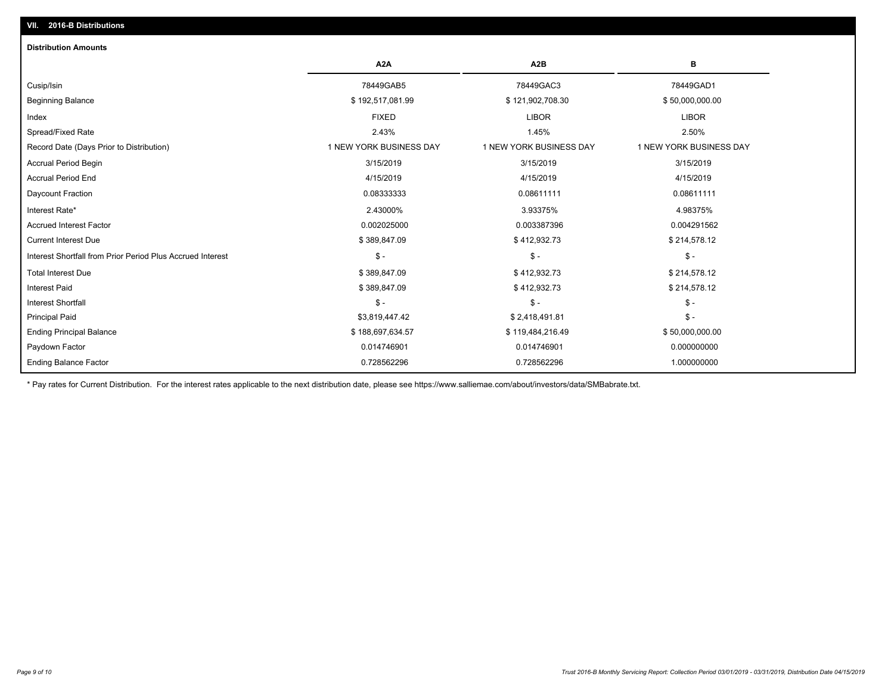## Ending Balance Factor Paydown Factor 0.014746901 0.014746901 0.000000000 Ending Principal Balance \$ 188,697,634.57 \$ 188,697,634.57 \$ 19,484,216.49 \$ 50,000,000.000.00 Principal Paid \$3,819,447.42 \$ 2,418,491.81 \$ - Interest Shortfall \$ - \$ - \$ - Interest Paid \$ 389,847.09 \$ 412,932.73 \$ 214,578.12 Total Interest Due \$ 389,847.09 \$ 412,932.73 \$ 214,578.12 Interest Shortfall from Prior Period Plus Accrued Interest \$ - \$ - \$ - Current Interest Due \$ 389,847.09 \$ 412,932.73 \$ 214,578.12 Accrued Interest Factor 0.002025000 0.003387396 0.004291562 Interest Rate\* 2.43000% 3.93375% 4.98375% Daycount Fraction 0.08333333 0.08611111 0.08611111 Accrual Period End 4/15/2019 4/15/2019 4/15/2019 Accrual Period Begin 3/15/2019 3/15/2019 3/15/2019 Record Date (Days Prior to Distribution) 1 1 NEW YORK BUSINESS DAY 1 NEW YORK BUSINESS DAY 1 NEW YORK BUSINESS DAY Spread/Fixed Rate 2.43% 1.45% 2.50% Index FIXED LIBOR LIBOR Beginning Balance \$ 192,517,081.99 \$ 121,902,708.30 \$ 50,000,000.00 Cusip/Isin 78449GAB5 78449GAC3 78449GAD1 **A2A A2B B** 0.728562296 0.728562296 1.000000000 **Distribution Amounts**

\* Pay rates for Current Distribution. For the interest rates applicable to the next distribution date, please see https://www.salliemae.com/about/investors/data/SMBabrate.txt.

**VII. 2016-B Distributions**